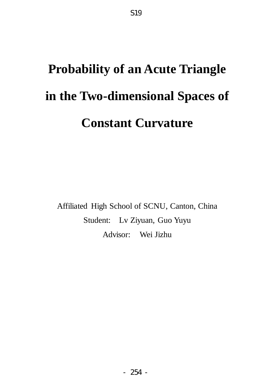# **Probability of an Acute Triangle in the Two-dimensional Spaces of Constant Curvature**

Affiliated High School of SCNU, Canton, China Student: Lv Ziyuan, Guo Yuyu Advisor: Wei Jizhu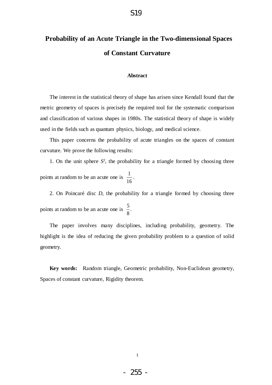# **Probability of an Acute Triangle in the Two-dimensional Spaces of Constant Curvature**

#### **Abstract**

The interest in the statistical theory of shape has arisen since Kendall found that the metric geometry of spaces is precisely the required tool for the systematic comparison and classification of various shapes in 1980s. The statistical theory of shape is widely used in the fields such as quantum physics, biology, and medical science.

This paper concerns the probability of acute triangles on the spaces of constant curvature. We prove the following results:

1. On the unit sphere  $S^2$ , the probability for a triangle formed by choosing three points at random to be an acute one is  $\frac{1}{16}$ . 16

2. On Poincaré disc *D*, the probability for a triangle formed by choosing three points at random to be an acute one is  $\frac{5}{3}$ . 8

The paper involves many disciplines, including probability, geometry. The highlight is the idea of reducing the given probability problem to a question of solid geometry.

**Key words:** Random triangle, Geometric probability, Non-Euclidean geometry, Spaces of constant curvature, Rigidity theorem.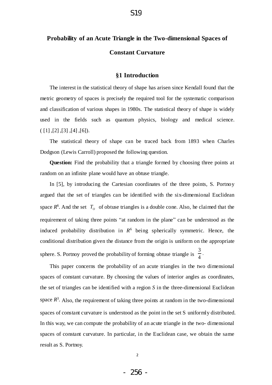# **Probability of an Acute Triangle in the Two-dimensional Spaces of Constant Curvature**

## **§1 Introduction**

The interest in the statistical theory of shape has arisen since Kendall found that the metric geometry of spaces is precisely the required tool for the systematic comparison and classification of various shapes in 1980s. The statistical theory of shape is widely used in the fields such as quantum physics, biology and medical science.  $([1], [2], [3], [4], [6]).$ 

The statistical theory of shape can be traced back from 1893 when Charles Dodgson (Lewis Carroll) proposed the following question.

**Question:** Find the probability that a triangle formed by choosing three points at random on an infinite plane would have an obtuse triangle.

In [5], by introducing the Cartesian coordinates of the three points*,* S. Portnoy argued that the set of triangles can be identified with the six-dimensional Euclidean space  $R^6$ . And the set  $T_o$  of obtuse triangles is a double cone. Also, he claimed that the requirement of taking three points "at random in the plane" can be understood as the induced probability distribution in  $R^6$  being spherically symmetric. Hence, the conditional distribution given the distance from the origin is uniform on the appropriate sphere. S. Portnoy proved the probability of forming obtuse triangle is 3 4 .

This paper concerns the probability of an acute triangles in the two dimensional spaces of constant curvature. By choosing the values of interior angles as coordinates, the set of triangles can be identified with a region *S* in the three-dimensional Euclidean space  $R^3$ . Also, the requirement of taking three points at random in the two-dimensional spaces of constant curvature is understood as the point in the set S uniformly distributed. In this way, we can compute the probability of an acute triangle in the two- dimensional spaces of constant curvature. In particular, in the Euclidean case, we obtain the same result as S. Portnoy.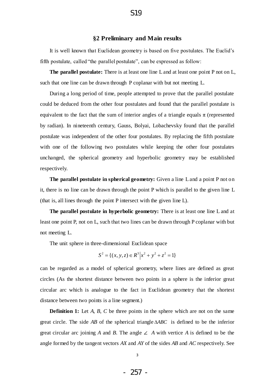## **§2 Preliminary and Main results**

It is well known that Euclidean geometry is based on five postulates. The Euclid's fifth postulate, called "the parallel postulate", can be expressed as follow:

**The parallel postulate:** There is at least one line L and at least one point P not on L, such that one line can be drawn through P coplanar with but not meeting L.

During a long period of time, people attempted to prove that the parallel postulate could be deduced from the other four postulates and found that the parallel postulate is equivalent to the fact that the sum of interior angles of a triangle equals  $\pi$  (represented by radian). In nineteenth century, Gauss, Bolyai, Lobachevsky found that the parallel postulate was independent of the other four postulates. By replacing the fifth postulate with one of the following two postulates while keeping the other four postulates unchanged, the spherical geometry and hyperbolic geometry may be established respectively.

**The parallel postulate in spherical geometry:** Given a line L and a point P not on it, there is no line can be drawn through the point P which is parallel to the given line L (that is, all lines through the point P intersect with the given line L).

**The parallel postulate in hyperbolic geometry:** There is at least one line L and at least one point P, not on L, such that two lines can be drawn through P coplanar with but not meeting L.

The unit sphere in three-dimensional Euclidean space

$$
S^{2} = \{(x, y, z) \in R^{3} | x^{2} + y^{2} + z^{2} = 1 \}
$$

can be regarded as a model of spherical geometry, where lines are defined as great circles (As the shortest distance between two points in a sphere is the inferior great circular arc which is analogue to the fact in Euclidean geometry that the shortest distance between two points is a line segment.)

**Definition 1:** Let *A*, *B*, *C* be three points in the sphere which are not on the same great circle. The side *AB* of the spherical triangle *ABC* is defined to be the inferior great circular arc joining *A* and *B*. The angle  $\angle$  *A* with vertice *A* is defined to be the angle formed by the tangent vectors *AX* and *AY* of the sides *AB* and *AC* respectively. See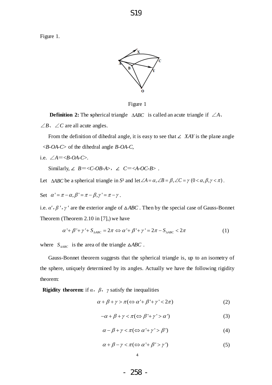Figure 1.



Figure 1

**Definition 2:** The spherical triangle  $\triangle ABC$  is called an acute triangle if  $\angle A$ . ∠*B*、∠*C* are all acute angles.

From the definition of dihedral angle, it is easy to see that ∠ *XAY* is the plane angle <*B-OA-C*> of the dihedral angle *B-OA-C*,

i.e.  $\angle A = \langle B \cdot OA \cdot C \rangle$ .

Similarly, ∠  $B = \langle C \cdot OB \cdot A \rangle$ , ∠  $C = \langle A \cdot OC \cdot B \rangle$ .

Let  $\triangle ABC$  be a spherical triangle in *S*<sup>2</sup> and let  $\angle A = \alpha$ ,  $\angle B = \beta$ ,  $\angle C = \gamma$  (0 <  $\alpha$ ,  $\beta$ ,  $\gamma$  <  $\pi$ ).

Set 
$$
\alpha' = \pi - \alpha
$$
,  $\beta' = \pi - \beta$ ,  $\gamma' = \pi - \gamma$ .

i.e.  $\alpha'$ ,  $\beta'$ ,  $\gamma'$  are the exterior angle of  $\triangle ABC$ . Then by the special case of Gauss-Bonnet Theorem (Theorem 2.10 in [7],) we have<br>  $\alpha' + \beta' + \gamma' + S_{\text{ABC}} = 2\pi \Leftrightarrow \alpha' + \beta' + \gamma' = 2\pi - S_{\text{ABC}} < 2\pi$ 

$$
\alpha' + \beta' + \gamma' + S_{\Delta ABC} = 2\pi \Leftrightarrow \alpha' + \beta' + \gamma' = 2\pi - S_{\Delta ABC} < 2\pi \tag{1}
$$

where  $S_{\triangle ABC}$  is the area of the triangle  $\triangle ABC$ .

Gauss-Bonnet theorem suggests that the spherical triangle is, up to an isometry of the sphere, uniquely determined by its angles. Actually we have the following rigidity theorem:

**Rigidity theorem:** if  $\alpha$ ,  $\beta$ ,  $\gamma$  satisfy the inequalities

$$
\alpha + \beta + \gamma > \pi (\Leftrightarrow \alpha' + \beta' + \gamma' < 2\pi) \tag{2}
$$

$$
-\alpha + \beta + \gamma < \pi \left( \Longleftrightarrow \beta' + \gamma' > \alpha' \right) \tag{3}
$$

$$
\alpha - \beta + \gamma < \pi \left( \Longleftrightarrow \alpha' + \gamma' > \beta' \right) \tag{4}
$$

$$
\alpha + \beta - \gamma < \pi \left( \Longleftrightarrow \alpha' + \beta' > \gamma' \right) \tag{5}
$$

- 258 -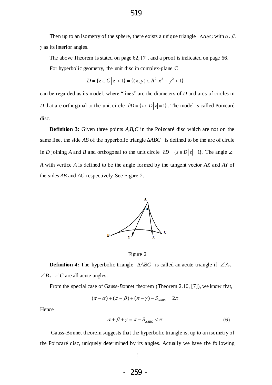Then up to an isometry of the sphere, there exists a unique triangle  $\triangle ABC$  with  $\alpha$ ,  $\beta$ , *γ* as its interior angles.

The above Theorem is stated on page 62, [7], and a proof is indicated on page 66.

For hyperbolic geometry, the unit disc in complex-plane C  

$$
D = \{ z \in C \, \big| \, z \big| < 1 \} = \{ (x, y) \in R^2 \, \big| \, x^2 + y^2 < 1 \}
$$

can be regarded as its model, where "lines" are the diameters of *D* and arcs of circles in *D* that are orthogonal to the unit circle  $\partial D = \{z \in D \mid |z| = 1\}$ . The model is called Poincar é disc.

**Definition 3:** Given three points *A,B,C* in the Poincar é disc which are not on the same line, the side AB of the hyperbolic triangle  $\triangle ABC$  is defined to be the arc of circle in *D* joining *A* and *B* and orthogonal to the unit circle  $\partial D = \{z \in D \mid |z| = 1\}$ . The angle ∠ *A* with vertice *A* is defined to be the angle formed by the tangent vector *AX* and *AY* of the sides *AB* and *AC* respectively. See Figure 2.



Figure 2

**Definition 4:** The hyperbolic triangle  $\triangle ABC$  is called an acute triangle if  $\angle A$ . ∠*B*、∠*C* are all acute angles.

From the special case of Gauss-*B*onnet theorem (Theorem 2.10, [7]), we know that,

$$
(\pi - \alpha) + (\pi - \beta) + (\pi - \gamma) - S_{\text{ABC}} = 2\pi
$$

Hence

$$
\alpha + \beta + \gamma = \pi - S_{\text{AABC}} < \pi \tag{6}
$$

Gauss-Bonnet theorem suggests that the hyperbolic triangle is, up to an isometry of the Poincarédisc, uniquely determined by its angles. Actually we have the following

5

- 259 -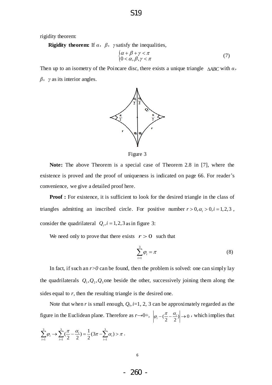rigidity theorem:

**Rigidity theorem:** If  $\alpha$ ,  $\beta$ ,  $\gamma$  satisfy the inequalities,

$$
\begin{cases} \alpha + \beta + \gamma < \pi \\ 0 < \alpha, \beta, \gamma < \pi \end{cases} \tag{7}
$$

Then up to an isometry of the Poincare disc, there exists a unique triangle *ABC* with *α*, *β*,*γ* as its interior angles.





**Note:** The above Theorem is a special case of Theorem 2.8 in [7], where the existence is proved and the proof of uniqueness is indicated on page 66. For reader's convenience, we give a detailed proof here.

**Proof :** For existence, it is sufficient to look for the desired triangle in the class of triangles admitting an inscribed circle. For positive number  $r > 0, \alpha_i > 0, i = 1,2,3$ , consider the quadrilateral  $Q_i$ ,  $i = 1, 2, 3$  as in figure 3:

We need only to prove that there exists  $r > 0$  such that

$$
\sum_{i=1}^{3} \varphi_i = \pi \tag{8}
$$

In fact, if such an  $r>0$  can be found, then the problem is solved: one can simply lay the quadrilaterals  $Q_1, Q_2, Q_3$  one beside the other, successively joining them along the sides equal to *r*, then the resulting triangle is the desired one.

Note that when *r* is small enough,  $Q_i$ ,  $i=1, 2, 3$  can be approximately regarded as the figure in the Euclidean plane. Therefore as  $r\rightarrow 0^+$ ,  $|\varphi_i - (\frac{\pi}{2} - \frac{\alpha_i}{2})| \rightarrow 0$  $P_i - (\frac{\pi}{2} - \frac{\alpha_i}{2})$  $|\varphi_i - (\frac{\pi}{2} - \frac{\alpha_i}{2})| \to 0$ , which implies that

$$
\sum_{i=1}^3 \varphi_i \to \sum_{i=1}^3 (\frac{\pi}{2} - \frac{\alpha_i}{2}) = \frac{1}{2} (3\pi - \sum_{i=1}^3 \alpha_i) > \pi.
$$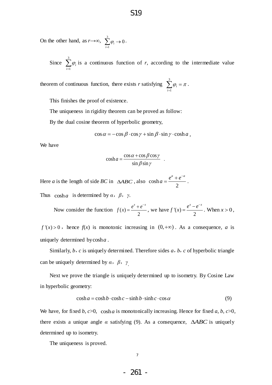On the other hand, as  $r \rightarrow \infty$ ,  $\sum_{i=1}^{3} \varphi_i \rightarrow 0$ .  $\sum_{i=1} \varphi_i \to 0$  $\varphi$  $\sum_{i=1} \varphi_i \rightarrow$ 

Since  $\sum \varphi_i$  is a continuous function of *r*, according to the intermediate value 3 1 *i i*  $\varphi$  $\sum_{i=1}$ 

theorem of continuous function, there exists *r* satisfying  $\sum \varphi_i = \pi$ . 3 1 *i i*  $\varphi_i = \pi$  $\sum_{i=1}^{n} \varphi_i =$ 

This finishes the proof of existence.

The uniqueness in rigidity theorem can be proved as follow:

By the dual cosine theorem of hyperbolic geometry,

$$
\cos \alpha = -\cos \beta \cdot \cos \gamma + \sin \beta \cdot \sin \gamma \cdot \cosh a
$$

We have

$$
\cosh a = \frac{\cos \alpha + \cos \beta \cos \gamma}{\sin \beta \sin \gamma} .
$$

Here *a* is the length of side *BC* in  $\triangle ABC$ , also cosh 2  $a = \frac{e^a + e^{-a}}{2}$  $=\frac{e^a+e^{-a}}{2}$ . Thus  $\cosh a$  is determined by  $\alpha$ ,  $\beta$ ,  $\gamma$ .

Now consider the function  $f(x)$ 2  $f(x) = \frac{e^{x} + e^{-x}}{2}$ , we have  $f'(x)$ 2  $f'(x) = \frac{e^x - e^{-x}}{2}$ . When  $x > 0$ ,

 $f'(x) > 0$ , hence  $f(x)$  is monotonic increasing in  $(0, +\infty)$ . As a consequence, *a* is uniquely determined by cosh*a* .

Similarly, *b*,*c* is uniquely determined. Therefore sides *a*,*b*,*c* of hyperbolic triangle can be uniquely determined by *α*,*β*,*γ* .

Next we prove the triangle is uniquely determined up to isometry. By Cosine Law in hyperbolic geometry: cosh  $a = \cosh b \cdot \cosh c - \sinh b \cdot \sinh c \cdot \cos \alpha$  (9)

$$
\cosh a = \cosh b \cdot \cosh c - \sinh b \cdot \sinh c \cdot \cos a \tag{9}
$$

We have, for fixed  $b$ ,  $c>0$ ,  $\cosh a$  is monotonically increasing. Hence for fixed  $a$ ,  $b$ ,  $c>0$ , there exists a unique angle  $\alpha$  satisfying (9). As a consequence,  $\triangle ABC$  is uniquely determined up to isometry.

The uniqueness is proved.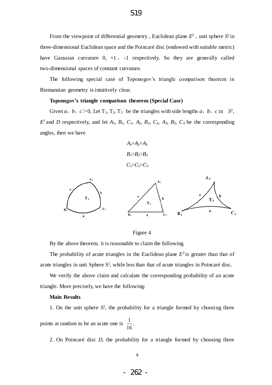From the viewpoint of differential geometry, Euclidean plane  $E^2$ , unit sphere  $S^2$ in three-dimensional Euclidean space and the Poincaré disc (endowed with suitable metric) have Gaussian curvature  $0, +1$ ,  $-1$  respectively. So they are generally called two-dimensional spaces of constant curvature.

The following special case of Toponogov's triangle comparison theorem in Riemannian geometry is intuitively clear.

#### **Toponogov's triangle comparison theorem (Special Case)**

Given *a*, *b*,  $c > 0$ , Let T<sub>1</sub>, T<sub>2</sub>, T<sub>3</sub> be the triangles with side lengths *a*, *b*, *c* in  $S^2$ ,  $E^2$  and *D* respectively, and let  $A_1$ ,  $B_1$ ,  $C_1$ ,  $A_2$ ,  $B_2$ ,  $C_2$ ,  $A_3$ ,  $B_3$ ,  $C_3$  be the corresponding angles, then we have

$$
A_1>A_2>A_3
$$
  

$$
B_1>B_2>B_3
$$
  

$$
C_1>C_2>C_3
$$



Figure 4

By the above theorem, it is reasonable to claim the following.

The probability of acute triangles in the Euclidean plane  $E^2$  is greater than that of acute triangles in unit Sphere *S* 2 , while less than that of acute triangles in Poincaré disc.

We verify the above claim and calculate the corresponding probability of an acute triangle. More precisely, we have the following:

#### **Main Results**

1. On the unit sphere  $S^2$ , the probability for a triangle formed by choosing three points at random to be an acute one is  $\frac{1}{16}$ . 16

2. On Poincaré disc *D*, the probability for a triangle formed by choosing three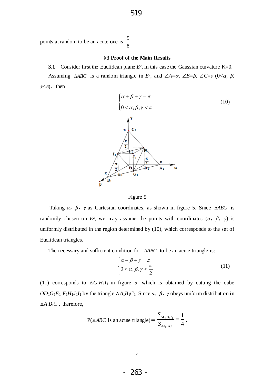points at random to be an acute one is  $\frac{5}{3}$ . 8

#### **§3 Proof of the Main Results**

**3.1** Consider first the Euclidean plane  $E^2$ , in this case the Gaussian curvature K=0. Assuming  $\triangle ABC$  is a random triangle in  $E^2$ , and  $\angle A = \alpha$ ,  $\angle B = \beta$ ,  $\angle C = \gamma$  (0< $\alpha$ ,  $\beta$ ,  $\gamma \lt \pi$ , then



#### Figure 5

Taking  $\alpha$ ,  $\beta$ ,  $\gamma$  as Cartesian coordinates, as shown in figure 5. Since  $\triangle ABC$  is randomly chosen on *E*<sup>2</sup>, we may assume the points with coordinates  $(\alpha, \beta, \gamma)$  is uniformly distributed in the region determined by (10), which corresponds to the set of Euclidean triangles.

The necessary and sufficient condition for  $\triangle ABC$  to be an acute triangle is:

$$
\begin{cases} \alpha + \beta + \gamma = \pi \\ 0 < \alpha, \beta, \gamma < \frac{\pi}{2} \end{cases} \tag{11}
$$

(11) corresponds to  $\Delta G_1 H_1 I_1$  in figure 5, which is obtained by cutting the cube *OD*<sub>1</sub>*G*<sub>1</sub>*E*<sub>1</sub>-*F*<sub>1</sub>*H*<sub>1</sub>*J*<sub>1</sub>*I*<sub>1</sub> by the triangle Δ*A*<sub>1</sub>*B*<sub>1</sub>*C*<sub>1</sub>. Since *α*, *β*, *γ* obeys uniform distribution in  $\Delta A_1 B_1 C_1$ , therefore,

$$
P(\triangle ABC \text{ is an acute triangle}) = \frac{S_{\triangle G_1 H_1 I_1}}{S_{\triangle A_1 B_1 C_1}} = \frac{1}{4}.
$$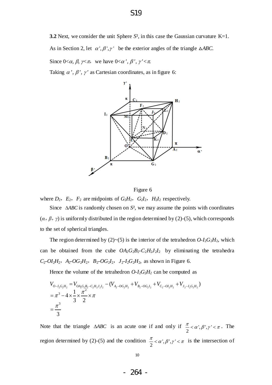**3.2** Next, we consider the unit Sphere  $S^2$ , in this case the Gaussian curvature  $K=1$ .

As in Section 2, let  $\alpha', \beta', \gamma'$  be the exterior angles of the triangle  $\triangle ABC$ .

Since  $0<\alpha$ ,  $\beta$ ,  $\nsim \pi$ , we have  $0<\alpha'$ ,  $\beta'$ ,  $\gamma' < \pi$ .

Taking  $\alpha'$ ,  $\beta'$ ,  $\gamma'$  as Cartesian coordinates, as in figure 6:



Figure 6

where  $D_2$ ,  $E_2$ ,  $F_2$  are midpoints of  $G_2H_2$ ,  $G_2I_2$ ,  $H_2I_2$  respectively.

Since  $\triangle ABC$  is randomly chosen on  $S^2$ , we may assume the points with coordinates  $(\alpha, \beta, \gamma)$  is uniformly distributed in the region determined by (2)-(5), which corresponds to the set of spherical triangles.

The region determined by (2)~(5) is the interior of the tetrahedron  $O-I_2G_2H_2$ , which can be obtained from the cube  $OA_2G_2B_2-C_2H_2J_2I_2$  by eliminating the tetrahedra  $C_2$ - $OI_2H_2$ ,  $A_2$ - $OG_2H_2$ ,  $B_2$ - $OG_2I_2$ ,  $J_2$ - $I_2G_2H_2$ , as shown in Figure 6.

Hence the volume of the tetrahedron  $O-I_2G_2H_2$  can be computed as

Hence the volume of the tetrahedron *O-I*<sub>2</sub>*G*<sub>2</sub>*H*<sub>2</sub> can be computed as  
\n
$$
V_{O-I_2G_2H_2} = V_{OA_2G_2B_2-C_2H_2J_2I_2} - (V_{A_2-OG_2H_2} + V_{B_2-OG_2I_2} + V_{C_2-OI_2H_2} + V_{J_2-I_2G_2H_2})
$$
\n
$$
= \pi^3 - 4 \times \frac{1}{3} \times \frac{\pi^2}{2} \times \pi
$$
\n
$$
= \frac{\pi^3}{3}
$$

Note that the triangle  $\triangle ABC$  is an acute one if and only if  $\frac{\pi}{2} < \alpha', \beta', \gamma' < \pi$ . The region determined by (2)-(5) and the condition  $\frac{\pi}{2} < \alpha', \beta', \gamma' < \pi$  is the intersection of 2  $\frac{\pi}{2}$  <  $\alpha$ ',  $\beta$ ',  $\gamma$ ' <  $\pi$ . 2  $\frac{\pi}{2} < \alpha', \beta', \gamma' < \pi$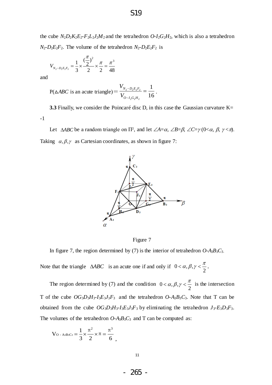the cube  $N_2D_2K_2E_2-F_2L_2J_2M_2$  and the tetrahedron  $O-I_2G_2H_2$ , which is also a tetrahedron  $N_2$ - $D_2E_2F_2$ . The volume of the tetrahedron  $N_2$ - $D_2E_2F_2$  is

$$
V_{N_2 - D_2 E_2 F_2} = \frac{1}{3} \times \frac{(\frac{\pi}{2})^2}{2} \times \frac{\pi}{2} = \frac{\pi^3}{48}
$$

and

$$
P(\triangle ABC \text{ is an acute triangle}) = \frac{V_{N_2 - D_2 E_2 F_2}}{V_{O - I_2 G_2 H_2}} = \frac{1}{16}.
$$

**3.3** Finally, we consider the Poincarédisc D, in this case the Gaussian curvature K= -1

Let  $\triangle ABC$  be a random triangle on  $\Pi^2$ , and let  $\angle A = \alpha$ ,  $\angle B = \beta$ ,  $\angle C = \gamma$  (0< $\alpha$ ,  $\beta$ ,  $\gamma < \pi$ ). Taking  $\alpha, \beta, \gamma$  as Cartesian coordinates, as shown in figure 7:



Figure 7

In figure 7, the region determined by (7) is the interior of tetrahedron  $O$ - $A_3B_3C_3$ .

Note that the triangle  $\triangle ABC$  is an acute one if and only if  $0 < \alpha, \beta, \gamma < \frac{\pi}{2}$ . 2  $<\alpha, \beta, \gamma < \frac{\pi}{2}$ 

The region determined by (7) and the condition  $0 < \alpha, \beta, \gamma < \frac{\pi}{2}$  is the intersection T of the cube  $OG_3D_3H_3-I_3E_3J_3F_3$  and the tetrahedron  $O-A_3B_3C_3$ . Note that T can be obtained from the cube  $OG_3D_3H_3-I_3E_3J_3F_3$  by eliminating the tetrahedron  $J_3-E_3D_3F_3$ . The volumes of the tetrahedron  $O$ - $A_3B_3C_3$  and T can be computed as: 2  $<\alpha, \beta, \gamma < \frac{\pi}{2}$ 

$$
V_{O-{\rm A}3{\rm B}3{\rm C}3} = \frac{1}{3} \times \frac{\pi^2}{2} \times \pi = \frac{\pi^3}{6} ,
$$

- 265 -